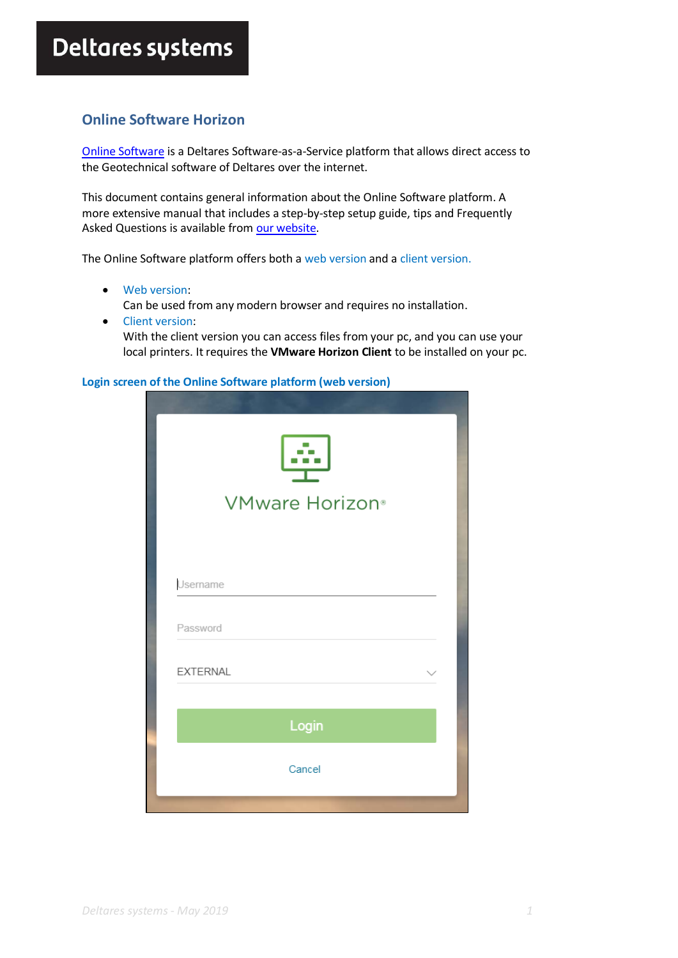# **Online Software Horizon**

[Online Software](http://onlinesoftware.deltares.nl/) is a Deltares Software-as-a-Service platform that allows direct access to the Geotechnical software of Deltares over the internet.

This document contains general information about the Online Software platform. A more extensive manual that includes a step-by-step setup guide, tips and Frequently Asked Questions is available fro[m our website.](https://www.deltares.nl/en/software/online-software-2/)

The Online Software platform offers both a web version and a client version.

- Web version: Can be used from any modern browser and requires no installation.
- Client version: With the client version you can access files from your pc, and you can use your local printers. It requires the **VMware Horizon Client** to be installed on your pc.

### **Login screen of the Online Software platform (web version)**

| <b>VMware Horizon</b> ® |  |
|-------------------------|--|
| Username                |  |
| Password                |  |
| <b>EXTERNAL</b>         |  |
| Login                   |  |
| Cancel                  |  |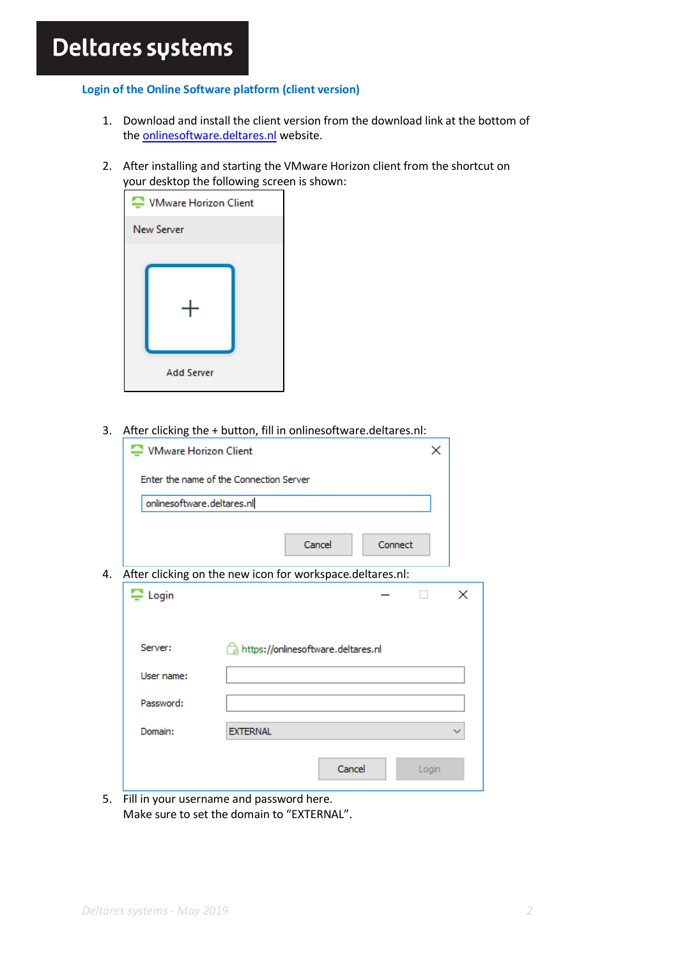### **Login of the Online Software platform (client version)**

- 1. Download and install the client version from the download link at the bottom of the **onlinesoftware**.deltares.nl website.
- 2. After installing and starting the VMware Horizon client from the shortcut on your desktop the following screen is shown:

| VMware Horizon Client |  |  |  |  |
|-----------------------|--|--|--|--|
| <b>New Server</b>     |  |  |  |  |
|                       |  |  |  |  |
| <b>Add Server</b>     |  |  |  |  |

3. After clicking the + button, fill in onlinesoftware.deltares.nl:

|                                                           | onlinesoftware.deltares.nl |                                    |         |  |
|-----------------------------------------------------------|----------------------------|------------------------------------|---------|--|
|                                                           |                            | Cancel                             | Connect |  |
| After clicking on the new icon for workspace.deltares.nl: |                            |                                    |         |  |
| $\mathbf{\supseteq}$ Login                                |                            |                                    |         |  |
|                                                           |                            |                                    |         |  |
| Server:                                                   |                            |                                    |         |  |
|                                                           |                            | https://onlinesoftware.deltares.nl |         |  |
| User name:                                                |                            |                                    |         |  |
| Password:                                                 |                            |                                    |         |  |

5. Fill in your username and password here. Make sure to set the domain to "EXTERNAL".